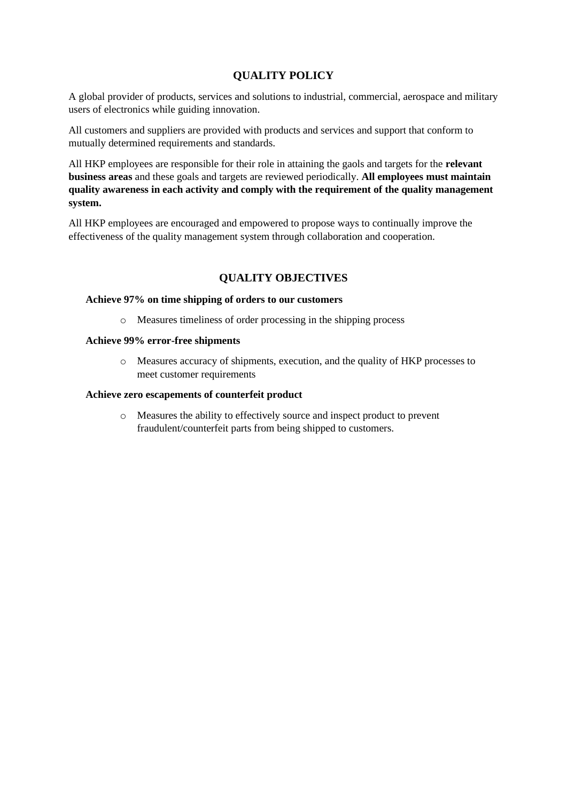# **QUALITY POLICY**

A global provider of products, services and solutions to industrial, commercial, aerospace and military users of electronics while guiding innovation.

All customers and suppliers are provided with products and services and support that conform to mutually determined requirements and standards.

All HKP employees are responsible for their role in attaining the gaols and targets for the **relevant business areas** and these goals and targets are reviewed periodically. **All employees must maintain quality awareness in each activity and comply with the requirement of the quality management system.**

All HKP employees are encouraged and empowered to propose ways to continually improve the effectiveness of the quality management system through collaboration and cooperation.

### **QUALITY OBJECTIVES**

### **Achieve 97% on time shipping of orders to our customers**

o Measures timeliness of order processing in the shipping process

### **Achieve 99% error-free shipments**

o Measures accuracy of shipments, execution, and the quality of HKP processes to meet customer requirements

#### **Achieve zero escapements of counterfeit product**

o Measures the ability to effectively source and inspect product to prevent fraudulent/counterfeit parts from being shipped to customers.